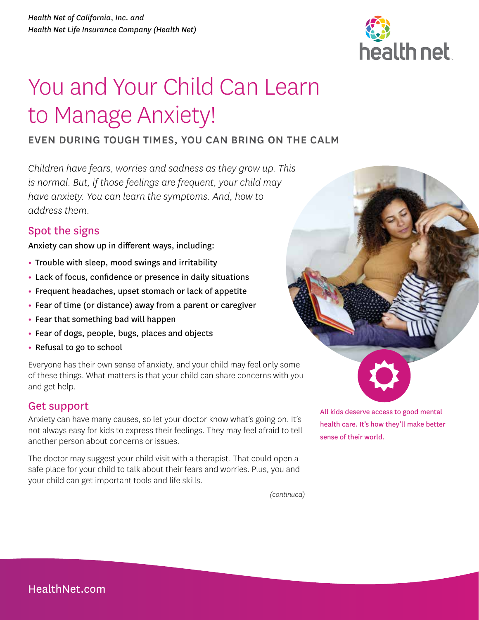

# You and Your Child Can Learn to Manage Anxiety!

# EVEN DURING TOUGH TIMES, YOU CAN BRING ON THE CALM

*Children have fears, worries and sadness as they grow up. This is normal. But, if those feelings are frequent, your child may have anxiety. You can learn the symptoms. And, how to address them.* 

## Spot the signs

Anxiety can show up in different ways, including:

- Trouble with sleep, mood swings and irritability
- Lack of focus, confidence or presence in daily situations
- Frequent headaches, upset stomach or lack of appetite
- Fear of time (or distance) away from a parent or caregiver
- Fear that something bad will happen
- Fear of dogs, people, bugs, places and objects
- Refusal to go to school

Everyone has their own sense of anxiety, and your child may feel only some of these things. What matters is that your child can share concerns with you and get help.

## Get support

Anxiety can have many causes, so let your doctor know what's going on. It's not always easy for kids to express their feelings. They may feel afraid to tell another person about concerns or issues.

The doctor may suggest your child visit with a therapist. That could open a safe place for your child to talk about their fears and worries. Plus, you and your child can get important tools and life skills.

*(continued)*